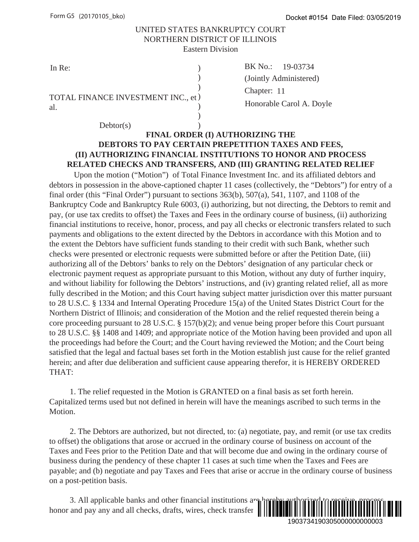#### UNITED STATES BANKRUPTCY COURT NORTHERN DISTRICT OF ILLINOIS Eastern Division

)

)

) TOTAL FINANCE INVESTMENT INC., et al.

In Re: BK No.:  $(\text{Chapter: } 11)$ BK No.: 19-03734 (Jointly Administered) Honorable Carol A. Doyle

### $Dektor(s)$  ) **FINAL ORDER (I) AUTHORIZING THE DEBTORS TO PAY CERTAIN PREPETITION TAXES AND FEES, (II) AUTHORIZING FINANCIAL INSTITUTIONS TO HONOR AND PROCESS RELATED CHECKS AND TRANSFERS, AND (III) GRANTING RELATED RELIEF**

Upon the motion ("Motion") of Total Finance Investment Inc. and its affiliated debtors and debtors in possession in the above-captioned chapter 11 cases (collectively, the "Debtors") for entry of a final order (this "Final Order") pursuant to sections 363(b), 507(a), 541, 1107, and 1108 of the Bankruptcy Code and Bankruptcy Rule 6003, (i) authorizing, but not directing, the Debtors to remit and pay, (or use tax credits to offset) the Taxes and Fees in the ordinary course of business, (ii) authorizing financial institutions to receive, honor, process, and pay all checks or electronic transfers related to such payments and obligations to the extent directed by the Debtors in accordance with this Motion and to the extent the Debtors have sufficient funds standing to their credit with such Bank, whether such checks were presented or electronic requests were submitted before or after the Petition Date, (iii) authorizing all of the Debtors' banks to rely on the Debtors' designation of any particular check or electronic payment request as appropriate pursuant to this Motion, without any duty of further inquiry, and without liability for following the Debtors' instructions, and (iv) granting related relief, all as more fully described in the Motion; and this Court having subject matter jurisdiction over this matter pursuant to 28 U.S.C. § 1334 and Internal Operating Procedure 15(a) of the United States District Court for the Northern District of Illinois; and consideration of the Motion and the relief requested therein being a core proceeding pursuant to 28 U.S.C. § 157(b)(2); and venue being proper before this Court pursuant to 28 U.S.C. §§ 1408 and 1409; and appropriate notice of the Motion having been provided and upon all the proceedings had before the Court; and the Court having reviewed the Motion; and the Court being satisfied that the legal and factual bases set forth in the Motion establish just cause for the relief granted herein; and after due deliberation and sufficient cause appearing therefor, it is HEREBY ORDERED THAT: Docket #0154 Date Filed: 03/05/2019<br>9-03734<br>9-03734<br>(arol A. Doyle<br>HE<br>HE<br>EES AND FEES,<br>NOR AND PROCESS<br>ING RELATED RELIEF<br>md its affiliated debtors and<br> $1107$ , and  $1108$  of the<br>recting, the "Debtors" of neering of heading

 1. The relief requested in the Motion is GRANTED on a final basis as set forth herein. Capitalized terms used but not defined in herein will have the meanings ascribed to such terms in the Motion.

 2. The Debtors are authorized, but not directed, to: (a) negotiate, pay, and remit (or use tax credits to offset) the obligations that arose or accrued in the ordinary course of business on account of the Taxes and Fees prior to the Petition Date and that will become due and owing in the ordinary course of business during the pendency of these chapter 11 cases at such time when the Taxes and Fees are payable; and (b) negotiate and pay Taxes and Fees that arise or accrue in the ordinary course of business on a post-petition basis.

3. All applicable banks and other financial institutions  $a_{\text{th}}$ honor and pay any and all checks, drafts, wires, check transfer

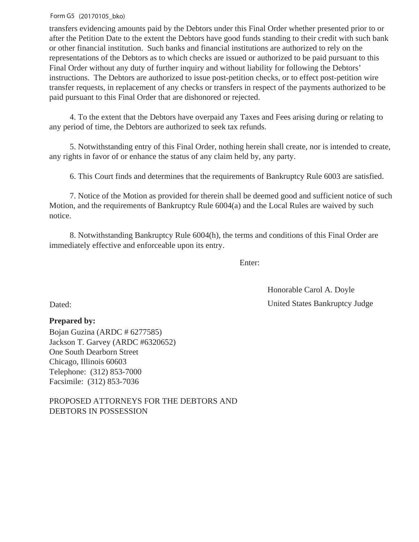#### Form G5 (20170105\_bko)

transfers evidencing amounts paid by the Debtors under this Final Order whether presented prior to or after the Petition Date to the extent the Debtors have good funds standing to their credit with such bank or other financial institution. Such banks and financial institutions are authorized to rely on the representations of the Debtors as to which checks are issued or authorized to be paid pursuant to this Final Order without any duty of further inquiry and without liability for following the Debtors' instructions. The Debtors are authorized to issue post-petition checks, or to effect post-petition wire transfer requests, in replacement of any checks or transfers in respect of the payments authorized to be paid pursuant to this Final Order that are dishonored or rejected.

 4. To the extent that the Debtors have overpaid any Taxes and Fees arising during or relating to any period of time, the Debtors are authorized to seek tax refunds.

 5. Notwithstanding entry of this Final Order, nothing herein shall create, nor is intended to create, any rights in favor of or enhance the status of any claim held by, any party.

6. This Court finds and determines that the requirements of Bankruptcy Rule 6003 are satisfied.

 7. Notice of the Motion as provided for therein shall be deemed good and sufficient notice of such Motion, and the requirements of Bankruptcy Rule 6004(a) and the Local Rules are waived by such notice.

 8. Notwithstanding Bankruptcy Rule 6004(h), the terms and conditions of this Final Order are immediately effective and enforceable upon its entry.

Enter:

Dated: United States Bankruptcy Judge Honorable Carol A. Doyle

### **Prepared by:**

Bojan Guzina (ARDC # 6277585) Jackson T. Garvey (ARDC #6320652) One South Dearborn Street Chicago, Illinois 60603 Telephone: (312) 853-7000 Facsimile: (312) 853-7036

PROPOSED ATTORNEYS FOR THE DEBTORS AND DEBTORS IN POSSESSION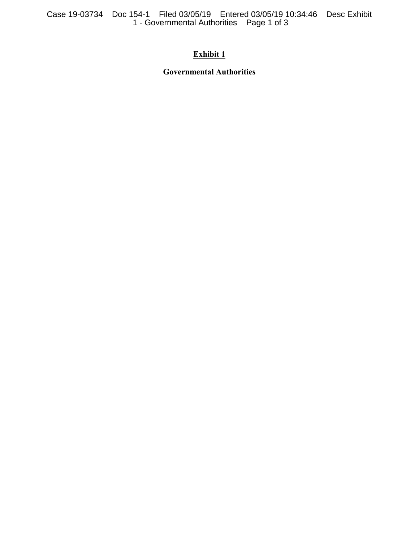Case 19-03734 Doc 154-1 Filed 03/05/19 Entered 03/05/19 10:34:46 Desc Exhibit 1 - Governmental Authorities Page 1 of 3

## **Exhibit 1**

**Governmental Authorities**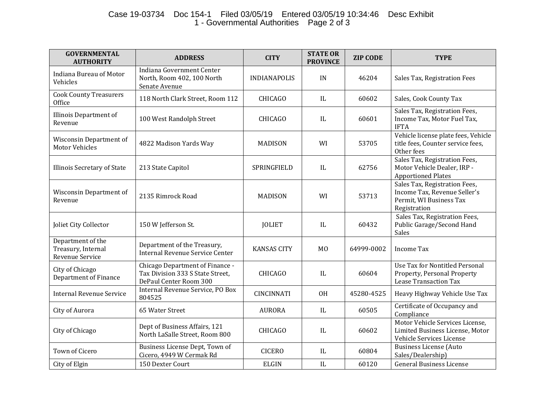# Case 19-03734 Doc 154-1 Filed 03/05/19 Entered 03/05/19 10:34:46 Desc Exhibit 1 - Governmental Authorities Page 2 of 3

| <b>GOVERNMENTAL</b><br><b>AUTHORITY</b>                    | <b>ADDRESS</b>                                                                                | <b>CITY</b>         | <b>STATE OR</b><br><b>PROVINCE</b> | <b>ZIP CODE</b> | <b>TYPE</b>                                                                                              |
|------------------------------------------------------------|-----------------------------------------------------------------------------------------------|---------------------|------------------------------------|-----------------|----------------------------------------------------------------------------------------------------------|
| Indiana Bureau of Motor<br>Vehicles                        | Indiana Government Center<br>North, Room 402, 100 North<br>Senate Avenue                      | <b>INDIANAPOLIS</b> | IN                                 | 46204           | Sales Tax, Registration Fees                                                                             |
| <b>Cook County Treasurers</b><br>Office                    | 118 North Clark Street, Room 112                                                              | <b>CHICAGO</b>      | IL                                 | 60602           | Sales, Cook County Tax                                                                                   |
| <b>Illinois Department of</b><br>Revenue                   | 100 West Randolph Street                                                                      | <b>CHICAGO</b>      | IL                                 | 60601           | Sales Tax, Registration Fees,<br>Income Tax, Motor Fuel Tax,<br><b>IFTA</b>                              |
| Wisconsin Department of<br><b>Motor Vehicles</b>           | 4822 Madison Yards Way                                                                        | <b>MADISON</b>      | WI                                 | 53705           | Vehicle license plate fees, Vehicle<br>title fees, Counter service fees,<br>Other fees                   |
| Illinois Secretary of State                                | 213 State Capitol                                                                             | SPRINGFIELD         | IL                                 | 62756           | Sales Tax, Registration Fees,<br>Motor Vehicle Dealer, IRP -<br><b>Apportioned Plates</b>                |
| Wisconsin Department of<br>Revenue                         | 2135 Rimrock Road                                                                             | <b>MADISON</b>      | WI                                 | 53713           | Sales Tax, Registration Fees,<br>Income Tax, Revenue Seller's<br>Permit, WI Business Tax<br>Registration |
| Joliet City Collector                                      | 150 W Jefferson St.                                                                           | <b>JOLIET</b>       | IL                                 | 60432           | Sales Tax, Registration Fees,<br>Public Garage/Second Hand<br>Sales                                      |
| Department of the<br>Treasury, Internal<br>Revenue Service | Department of the Treasury,<br>Internal Revenue Service Center                                | <b>KANSAS CITY</b>  | M <sub>0</sub>                     | 64999-0002      | <b>Income Tax</b>                                                                                        |
| City of Chicago<br>Department of Finance                   | Chicago Department of Finance -<br>Tax Division 333 S State Street,<br>DePaul Center Room 300 | <b>CHICAGO</b>      | IL                                 | 60604           | <b>Use Tax for Nontitled Personal</b><br>Property, Personal Property<br><b>Lease Transaction Tax</b>     |
| <b>Internal Revenue Service</b>                            | Internal Revenue Service, PO Box<br>804525                                                    | <b>CINCINNATI</b>   | <b>OH</b>                          | 45280-4525      | Heavy Highway Vehicle Use Tax                                                                            |
| City of Aurora                                             | 65 Water Street                                                                               | <b>AURORA</b>       | IL                                 | 60505           | Certificate of Occupancy and<br>Compliance                                                               |
| City of Chicago                                            | Dept of Business Affairs, 121<br>North LaSalle Street, Room 800                               | CHICAGO             | IL                                 | 60602           | Motor Vehicle Services License,<br>Limited Business License, Motor<br>Vehicle Services License           |
| <b>Town of Cicero</b>                                      | Business License Dept, Town of<br>Cicero, 4949 W Cermak Rd                                    | <b>CICERO</b>       | IL                                 | 60804           | Business License (Auto<br>Sales/Dealership)                                                              |
| City of Elgin                                              | 150 Dexter Court                                                                              | <b>ELGIN</b>        | IL                                 | 60120           | <b>General Business License</b>                                                                          |